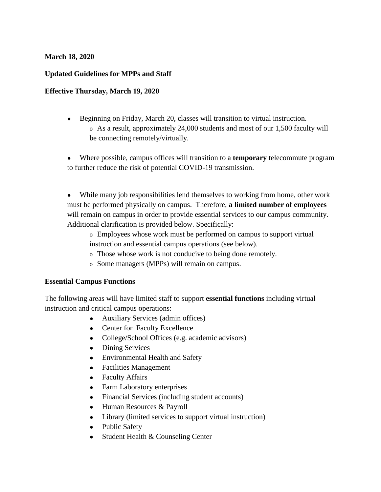#### **March 18, 2020**

### **Updated Guidelines for MPPs and Staff**

#### **Effective Thursday, March 19, 2020**

- Beginning on Friday, March 20, classes will transition to virtual instruction. o As a result, approximately 24,000 students and most of our 1,500 faculty will be connecting remotely/virtually.
- Where possible, campus offices will transition to a **temporary** telecommute program to further reduce the risk of potential COVID-19 transmission.
- While many job responsibilities lend themselves to working from home, other work must be performed physically on campus. Therefore, **a limited number of employees** will remain on campus in order to provide essential services to our campus community. Additional clarification is provided below. Specifically:
	- o Employees whose work must be performed on campus to support virtual
	- instruction and essential campus operations (see below).
	- o Those whose work is not conducive to being done remotely.
	- o Some managers (MPPs) will remain on campus.

#### **Essential Campus Functions**

The following areas will have limited staff to support **essential functions** including virtual instruction and critical campus operations:

- Auxiliary Services (admin offices)
- Center for Faculty Excellence
- College/School Offices (e.g. academic advisors)
- Dining Services
- Environmental Health and Safety
- Facilities Management
- Faculty Affairs
- Farm Laboratory enterprises
- Financial Services (including student accounts)
- Human Resources & Payroll
- Library (limited services to support virtual instruction)
- Public Safety
- Student Health & Counseling Center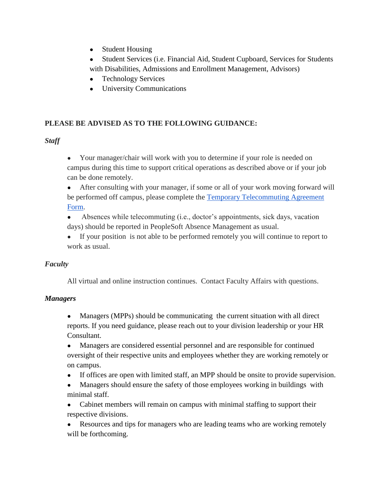- Student Housing
- Student Services (i.e. Financial Aid, Student Cupboard, Services for Students with Disabilities, Admissions and Enrollment Management, Advisors)
- **Technology Services**
- University Communications

# **PLEASE BE ADVISED AS TO THE FOLLOWING GUIDANCE:**

## *Staff*

• Your manager/chair will work with you to determine if your role is needed on campus during this time to support critical operations as described above or if your job can be done remotely.

• After consulting with your manager, if some or all of your work moving forward will b[e](https://fresnostate.co1.qualtrics.com/jfe/form/SV_4U6OlFRxQ1fdljf) performed off campus, please complete the **Temporary Telecommuting Agreement** [Form.](https://fresnostate.co1.qualtrics.com/jfe/form/SV_4U6OlFRxQ1fdljf)

- Absences while telecommuting (i.e., doctor's appointments, sick days, vacation days) should be reported in PeopleSoft Absence Management as usual.
- If your position is not able to be performed remotely you will continue to report to work as usual.

# *Faculty*

All virtual and online instruction continues. Contact Faculty Affairs with questions.

# *Managers*

• Managers (MPPs) should be communicating the current situation with all direct reports. If you need guidance, please reach out to your division leadership or your HR Consultant.

● Managers are considered essential personnel and are responsible for continued oversight of their respective units and employees whether they are working remotely or on campus.

- If offices are open with limited staff, an MPP should be onsite to provide supervision.
- Managers should ensure the safety of those employees working in buildings with minimal staff.

• Cabinet members will remain on campus with minimal staffing to support their respective divisions.

• Resources and tips for managers who are leading teams who are working remotely will be forthcoming.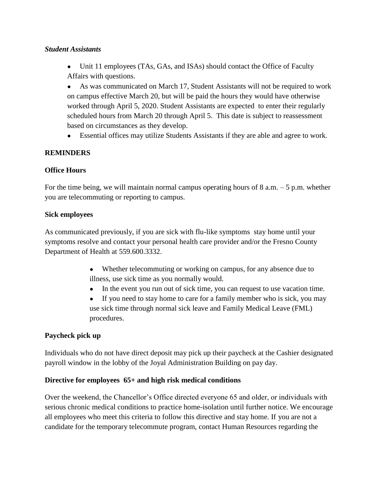#### *Student Assistants*

• Unit 11 employees (TAs, GAs, and ISAs) should contact the Office of Faculty Affairs with questions.

● As was communicated on March 17, Student Assistants will not be required to work on campus effective March 20, but will be paid the hours they would have otherwise worked through April 5, 2020. Student Assistants are expected to enter their regularly scheduled hours from March 20 through April 5. This date is subject to reassessment based on circumstances as they develop.

● Essential offices may utilize Students Assistants if they are able and agree to work.

### **REMINDERS**

### **Office Hours**

For the time being, we will maintain normal campus operating hours of  $8$  a.m.  $-5$  p.m. whether you are telecommuting or reporting to campus.

#### **Sick employees**

As communicated previously, if you are sick with flu-like symptoms stay home until your symptoms resolve and contact your personal health care provider and/or the Fresno County Department of Health at 559.600.3332.

- Whether telecommuting or working on campus, for any absence due to illness, use sick time as you normally would.
- In the event you run out of sick time, you can request to use vacation time.
- If you need to stay home to care for a family member who is sick, you may use sick time through normal sick leave and Family Medical Leave (FML) procedures.

### **Paycheck pick up**

Individuals who do not have direct deposit may pick up their paycheck at the Cashier designated payroll window in the lobby of the Joyal Administration Building on pay day.

### **Directive for employees 65+ and high risk medical conditions**

Over the weekend, the Chancellor's Office directed everyone 65 and older, or individuals with serious chronic medical conditions to practice home-isolation until further notice. We encourage all employees who meet this criteria to follow this directive and stay home. If you are not a candidate for the temporary telecommute program, contact Human Resources regarding the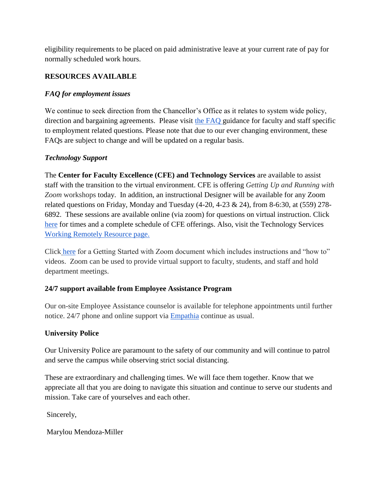eligibility requirements to be placed on paid administrative leave at your current rate of pay for normally scheduled work hours.

### **RESOURCES AVAILABLE**

## *FAQ for employment issues*

We continue to seek direction from the Chancellor's Office as it relates to system wide policy, direction and bargaining agreements. Please visit [the FAQ](http://fresnostate.edu/president/coronavirus/faq.html) guidance for faculty and staff specific to employment related questions. Please note that due to our ever changing environment, these FAQs are subject to change and will be updated on a regular basis.

## *Technology Support*

The **Center for Faculty Excellence (CFE) and Technology Services** are available to assist staff with the transition to the virtual environment. CFE is offering *Getting Up and Running with Zoom* workshops today. In addition, an instructional Designer will be available for any Zoom related questions on Friday, Monday and Tuesday (4-20, 4-23 & 24), from 8-6:30, at (559) 278- 6892. These sessions are available online (via zoom) for questions on virtual instruction. Clic[k](http://www.fresnostate.edu/academics/cfe/) [here](http://www.fresnostate.edu/academics/cfe/) for times and a complete schedule of CFE offerings. Also, visit the Technology Service[s](http://fresnostate.edu/technology/workingremotely/) [Working Remotely Resource page.](http://fresnostate.edu/technology/workingremotely/)

Clic[k](https://docs.google.com/document/d/1v_i9yy_5uvVod4xEKfAl4t6ietclLJ0Grw3Npdokro0/edit) [here](https://docs.google.com/document/d/1v_i9yy_5uvVod4xEKfAl4t6ietclLJ0Grw3Npdokro0/edit) for a Getting Started with Zoom document which includes instructions and "how to" videos. Zoom can be used to provide virtual support to faculty, students, and staff and hold department meetings.

# **24/7 support available from Employee Assistance Program**

Our on-site Employee Assistance counselor is available for telephone appointments until further notice. 24/7 phone and online support via [Empathia](http://www.fresnostate.edu/adminserv/hr/eap/) continue as usual.

### **University Police**

Our University Police are paramount to the safety of our community and will continue to patrol and serve the campus while observing strict social distancing.

These are extraordinary and challenging times. We will face them together. Know that we appreciate all that you are doing to navigate this situation and continue to serve our students and mission. Take care of yourselves and each other.

Sincerely,

Marylou Mendoza-Miller